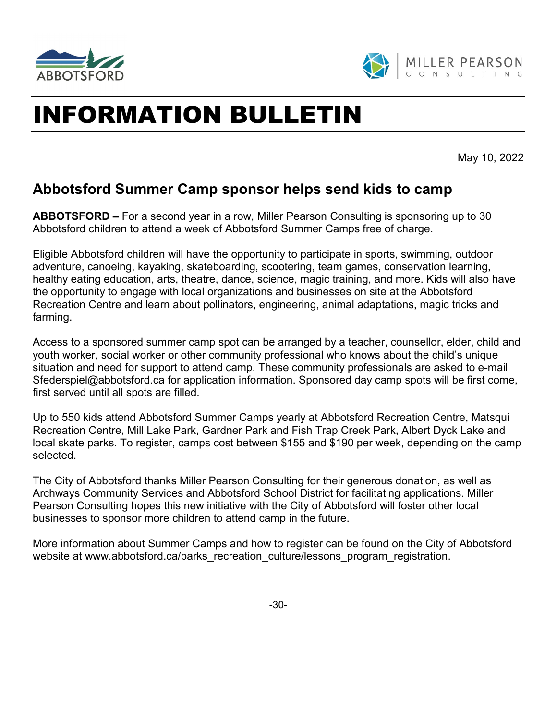

l,



## INFORMATION BULLETIN

May 10, 2022

## **Abbotsford Summer Camp sponsor helps send kids to camp**

**ABBOTSFORD –** For a second year in a row, Miller Pearson Consulting is sponsoring up to 30 Abbotsford children to attend a week of Abbotsford Summer Camps free of charge.

Eligible Abbotsford children will have the opportunity to participate in sports, swimming, outdoor adventure, canoeing, kayaking, skateboarding, scootering, team games, conservation learning, healthy eating education, arts, theatre, dance, science, magic training, and more. Kids will also have the opportunity to engage with local organizations and businesses on site at the Abbotsford Recreation Centre and learn about pollinators, engineering, animal adaptations, magic tricks and farming.

Access to a sponsored summer camp spot can be arranged by a teacher, counsellor, elder, child and youth worker, social worker or other community professional who knows about the child's unique situation and need for support to attend camp. These community professionals are asked to e-mail [Sfederspiel@abbotsford.ca](mailto:Sfederspiel@abbotsford.ca) for application information. Sponsored day camp spots will be first come, first served until all spots are filled.

Up to 550 kids attend Abbotsford Summer Camps yearly at Abbotsford Recreation Centre, Matsqui Recreation Centre, Mill Lake Park, Gardner Park and Fish Trap Creek Park, Albert Dyck Lake and local skate parks. To register, camps cost between \$155 and \$190 per week, depending on the camp selected.

The City of Abbotsford thanks Miller Pearson Consulting for their generous donation, as well as Archways Community Services and Abbotsford School District for facilitating applications. Miller Pearson Consulting hopes this new initiative with the City of Abbotsford will foster other local businesses to sponsor more children to attend camp in the future.

More information about Summer Camps and how to register can be found on the City of Abbotsford website at [www.abbotsford.ca/parks\\_recreation\\_culture/lessons\\_program\\_registration.](http://www.abbotsford.ca/parks_recreation_culture/lessons_program_registration)